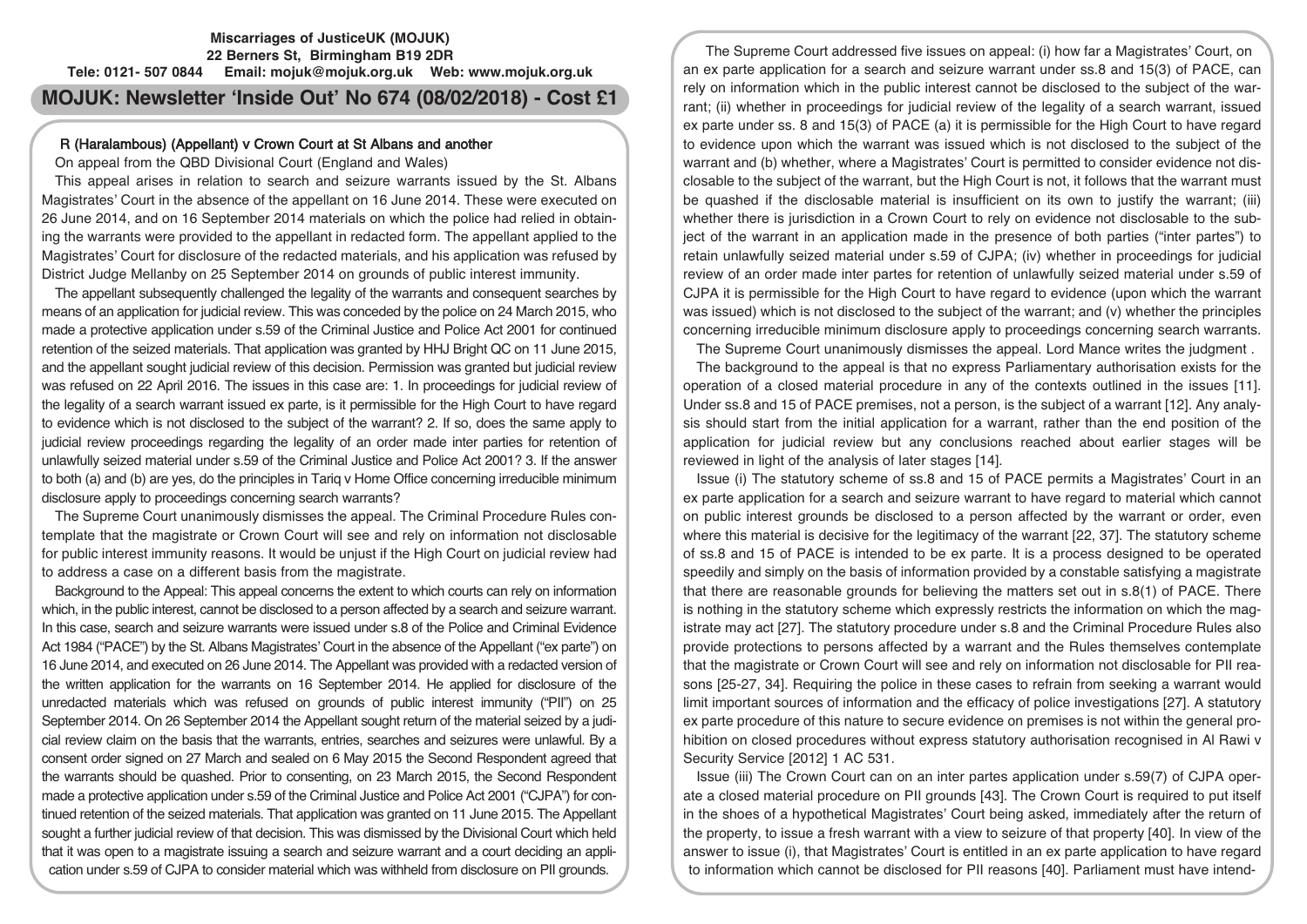# **Miscarriages of JusticeUK (MOJUK) 22 Berners St, Birmingham B19 2DR Tele: 0121- 507 0844 Email: mojuk@mojuk.org.uk Web: www.mojuk.org.uk**

# **MOJUK: Newsletter 'Inside Out' No 674 (08/02/2018) - Cost £1**

# R (Haralambous) (Appellant) v Crown Court at St Albans and another

On appeal from the QBD Divisional Court (England and Wales)

This appeal arises in relation to search and seizure warrants issued by the St. Albans Magistrates' Court in the absence of the appellant on 16 June 2014. These were executed on 26 June 2014, and on 16 September 2014 materials on which the police had relied in obtaining the warrants were provided to the appellant in redacted form. The appellant applied to the Magistrates' Court for disclosure of the redacted materials, and his application was refused by District Judge Mellanby on 25 September 2014 on grounds of public interest immunity.

The appellant subsequently challenged the legality of the warrants and consequent searches by means of an application for judicial review. This was conceded by the police on 24 March 2015, who made a protective application under s.59 of the Criminal Justice and Police Act 2001 for continued retention of the seized materials. That application was granted by HHJ Bright QC on 11 June 2015, and the appellant sought judicial review of this decision. Permission was granted but judicial review was refused on 22 April 2016. The issues in this case are: 1. In proceedings for judicial review of the legality of a search warrant issued ex parte, is it permissible for the High Court to have regard to evidence which is not disclosed to the subject of the warrant? 2. If so, does the same apply to judicial review proceedings regarding the legality of an order made inter parties for retention of unlawfully seized material under s.59 of the Criminal Justice and Police Act 2001? 3. If the answer to both (a) and (b) are yes, do the principles in Tariq v Home Office concerning irreducible minimum disclosure apply to proceedings concerning search warrants?

The Supreme Court unanimously dismisses the appeal. The Criminal Procedure Rules contemplate that the magistrate or Crown Court will see and rely on information not disclosable for public interest immunity reasons. It would be unjust if the High Court on judicial review had to address a case on a different basis from the magistrate.

Background to the Appeal: This appeal concerns the extent to which courts can rely on information which, in the public interest, cannot be disclosed to a person affected by a search and seizure warrant. In this case, search and seizure warrants were issued under s.8 of the Police and Criminal Evidence Act 1984 ("PACE") by the St. Albans Magistrates' Court in the absence of the Appellant ("ex parte") on 16 June 2014, and executed on 26 June 2014. The Appellant was provided with a redacted version of the written application for the warrants on 16 September 2014. He applied for disclosure of the unredacted materials which was refused on grounds of public interest immunity ("PII") on 25 September 2014. On 26 September 2014 the Appellant sought return of the material seized by a judicial review claim on the basis that the warrants, entries, searches and seizures were unlawful. By a consent order signed on 27 March and sealed on 6 May 2015 the Second Respondent agreed that the warrants should be quashed. Prior to consenting, on 23 March 2015, the Second Respondent made a protective application under s.59 of the Criminal Justice and Police Act 2001 ("CJPA") for continued retention of the seized materials. That application was granted on 11 June 2015. The Appellant sought a further judicial review of that decision. This was dismissed by the Divisional Court which held that it was open to a magistrate issuing a search and seizure warrant and a court deciding an application under s.59 of CJPA to consider material which was withheld from disclosure on PII grounds.

The Supreme Court addressed five issues on appeal: (i) how far a Magistrates' Court, on an ex parte application for a search and seizure warrant under ss.8 and 15(3) of PACE, can rely on information which in the public interest cannot be disclosed to the subject of the warrant; (ii) whether in proceedings for judicial review of the legality of a search warrant, issued ex parte under ss. 8 and 15(3) of PACE (a) it is permissible for the High Court to have regard to evidence upon which the warrant was issued which is not disclosed to the subject of the warrant and (b) whether, where a Magistrates' Court is permitted to consider evidence not disclosable to the subject of the warrant, but the High Court is not, it follows that the warrant must be quashed if the disclosable material is insufficient on its own to justify the warrant; (iii) whether there is jurisdiction in a Crown Court to rely on evidence not disclosable to the subject of the warrant in an application made in the presence of both parties ("inter partes") to retain unlawfully seized material under s.59 of CJPA; (iv) whether in proceedings for judicial review of an order made inter partes for retention of unlawfully seized material under s.59 of CJPA it is permissible for the High Court to have regard to evidence (upon which the warrant was issued) which is not disclosed to the subject of the warrant; and (v) whether the principles concerning irreducible minimum disclosure apply to proceedings concerning search warrants.

The Supreme Court unanimously dismisses the appeal. Lord Mance writes the judgment .

The background to the appeal is that no express Parliamentary authorisation exists for the operation of a closed material procedure in any of the contexts outlined in the issues [11]. Under ss.8 and 15 of PACE premises, not a person, is the subject of a warrant [12]. Any analysis should start from the initial application for a warrant, rather than the end position of the application for judicial review but any conclusions reached about earlier stages will be reviewed in light of the analysis of later stages [14].

Issue (i) The statutory scheme of ss.8 and 15 of PACE permits a Magistrates' Court in an ex parte application for a search and seizure warrant to have regard to material which cannot on public interest grounds be disclosed to a person affected by the warrant or order, even where this material is decisive for the legitimacy of the warrant [22, 37]. The statutory scheme of ss.8 and 15 of PACE is intended to be ex parte. It is a process designed to be operated speedily and simply on the basis of information provided by a constable satisfying a magistrate that there are reasonable grounds for believing the matters set out in s.8(1) of PACE. There is nothing in the statutory scheme which expressly restricts the information on which the magistrate may act [27]. The statutory procedure under s.8 and the Criminal Procedure Rules also provide protections to persons affected by a warrant and the Rules themselves contemplate that the magistrate or Crown Court will see and rely on information not disclosable for PII reasons [25-27, 34]. Requiring the police in these cases to refrain from seeking a warrant would limit important sources of information and the efficacy of police investigations [27]. A statutory ex parte procedure of this nature to secure evidence on premises is not within the general prohibition on closed procedures without express statutory authorisation recognised in Al Rawi v Security Service [2012] 1 AC 531.

Issue (iii) The Crown Court can on an inter partes application under s.59(7) of CJPA operate a closed material procedure on PII grounds [43]. The Crown Court is required to put itself in the shoes of a hypothetical Magistrates' Court being asked, immediately after the return of the property, to issue a fresh warrant with a view to seizure of that property [40]. In view of the answer to issue (i), that Magistrates' Court is entitled in an ex parte application to have regard to information which cannot be disclosed for PII reasons [40]. Parliament must have intend-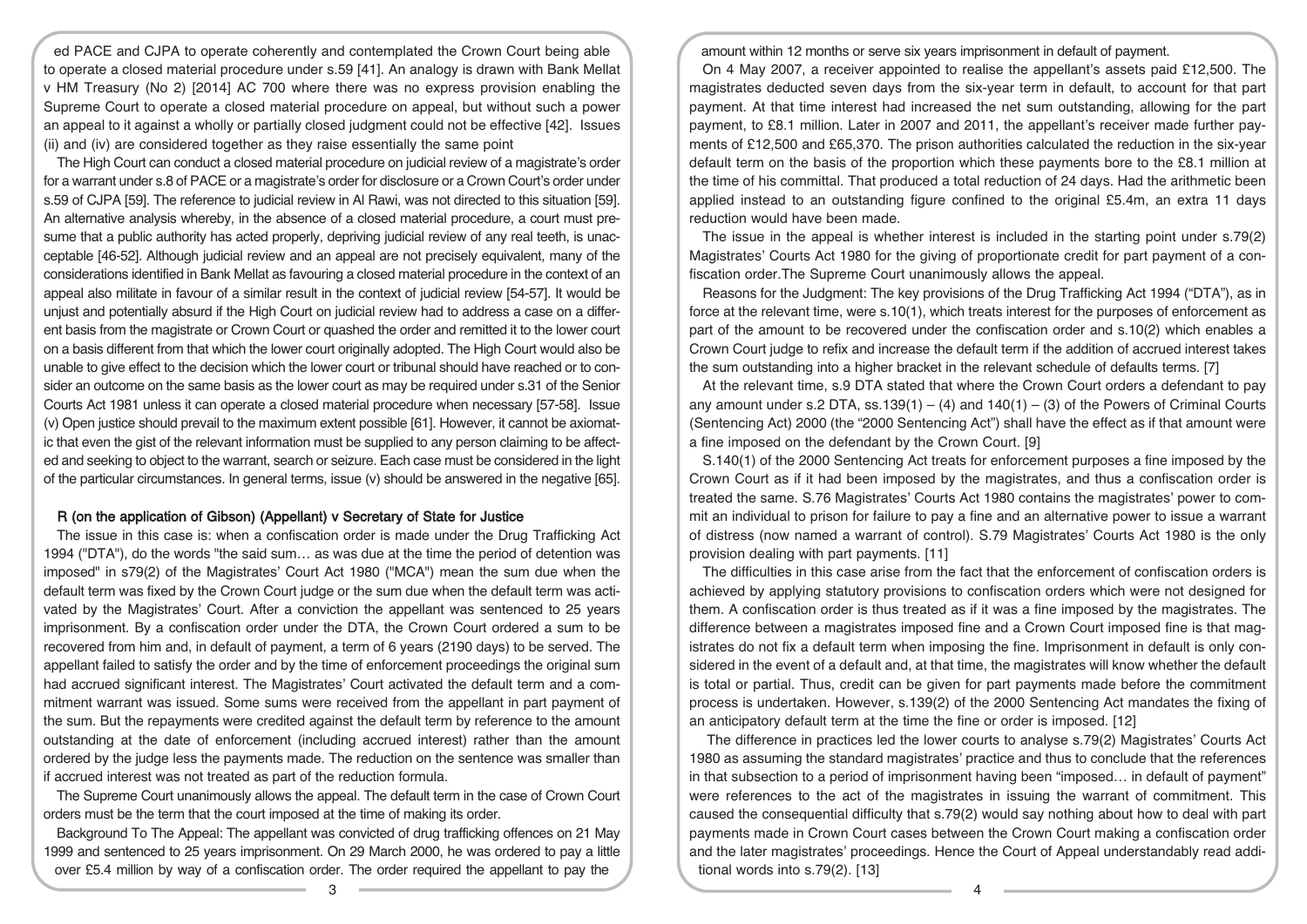ed PACE and CJPA to operate coherently and contemplated the Crown Court being able to operate a closed material procedure under s.59 [41]. An analogy is drawn with Bank Mellat v HM Treasury (No 2) [2014] AC 700 where there was no express provision enabling the Supreme Court to operate a closed material procedure on appeal, but without such a power an appeal to it against a wholly or partially closed judgment could not be effective [42]. Issues (ii) and (iv) are considered together as they raise essentially the same point

The High Court can conduct a closed material procedure on judicial review of a magistrate's order for a warrant under s.8 of PACE or a magistrate's order for disclosure or a Crown Court's order under s.59 of CJPA [59]. The reference to judicial review in Al Rawi, was not directed to this situation [59]. An alternative analysis whereby, in the absence of a closed material procedure, a court must presume that a public authority has acted properly, depriving judicial review of any real teeth, is unacceptable [46-52]. Although judicial review and an appeal are not precisely equivalent, many of the considerations identified in Bank Mellat as favouring a closed material procedure in the context of an appeal also militate in favour of a similar result in the context of judicial review [54-57]. It would be unjust and potentially absurd if the High Court on judicial review had to address a case on a different basis from the magistrate or Crown Court or quashed the order and remitted it to the lower court on a basis different from that which the lower court originally adopted. The High Court would also be unable to give effect to the decision which the lower court or tribunal should have reached or to consider an outcome on the same basis as the lower court as may be required under s.31 of the Senior Courts Act 1981 unless it can operate a closed material procedure when necessary [57-58]. Issue (v) Open justice should prevail to the maximum extent possible [61]. However, it cannot be axiomatic that even the gist of the relevant information must be supplied to any person claiming to be affected and seeking to object to the warrant, search or seizure. Each case must be considered in the light of the particular circumstances. In general terms, issue (v) should be answered in the negative [65].

# R (on the application of Gibson) (Appellant) v Secretary of State for Justice

The issue in this case is: when a confiscation order is made under the Drug Trafficking Act 1994 ("DTA"), do the words "the said sum… as was due at the time the period of detention was imposed" in s79(2) of the Magistrates' Court Act 1980 ("MCA") mean the sum due when the default term was fixed by the Crown Court judge or the sum due when the default term was activated by the Magistrates' Court. After a conviction the appellant was sentenced to 25 years imprisonment. By a confiscation order under the DTA, the Crown Court ordered a sum to be recovered from him and, in default of payment, a term of 6 years (2190 days) to be served. The appellant failed to satisfy the order and by the time of enforcement proceedings the original sum had accrued significant interest. The Magistrates' Court activated the default term and a commitment warrant was issued. Some sums were received from the appellant in part payment of the sum. But the repayments were credited against the default term by reference to the amount outstanding at the date of enforcement (including accrued interest) rather than the amount ordered by the judge less the payments made. The reduction on the sentence was smaller than if accrued interest was not treated as part of the reduction formula.

The Supreme Court unanimously allows the appeal. The default term in the case of Crown Court orders must be the term that the court imposed at the time of making its order.

Background To The Appeal: The appellant was convicted of drug trafficking offences on 21 May 1999 and sentenced to 25 years imprisonment. On 29 March 2000, he was ordered to pay a little over £5.4 million by way of a confiscation order. The order required the appellant to pay the

amount within 12 months or serve six years imprisonment in default of payment.

On 4 May 2007, a receiver appointed to realise the appellant's assets paid £12,500. The magistrates deducted seven days from the six-year term in default, to account for that part payment. At that time interest had increased the net sum outstanding, allowing for the part payment, to £8.1 million. Later in 2007 and 2011, the appellant's receiver made further payments of £12,500 and £65,370. The prison authorities calculated the reduction in the six-year default term on the basis of the proportion which these payments bore to the £8.1 million at the time of his committal. That produced a total reduction of 24 days. Had the arithmetic been applied instead to an outstanding figure confined to the original £5.4m, an extra 11 days reduction would have been made.

The issue in the appeal is whether interest is included in the starting point under s.79(2) Magistrates' Courts Act 1980 for the giving of proportionate credit for part payment of a confiscation order.The Supreme Court unanimously allows the appeal.

Reasons for the Judgment: The key provisions of the Drug Trafficking Act 1994 ("DTA"), as in force at the relevant time, were s.10(1), which treats interest for the purposes of enforcement as part of the amount to be recovered under the confiscation order and s.10(2) which enables a Crown Court judge to refix and increase the default term if the addition of accrued interest takes the sum outstanding into a higher bracket in the relevant schedule of defaults terms. [7]

At the relevant time, s.9 DTA stated that where the Crown Court orders a defendant to pay any amount under s.2 DTA,  $ss.139(1) - (4)$  and  $140(1) - (3)$  of the Powers of Criminal Courts (Sentencing Act) 2000 (the "2000 Sentencing Act") shall have the effect as if that amount were a fine imposed on the defendant by the Crown Court. [9]

S.140(1) of the 2000 Sentencing Act treats for enforcement purposes a fine imposed by the Crown Court as if it had been imposed by the magistrates, and thus a confiscation order is treated the same. S.76 Magistrates' Courts Act 1980 contains the magistrates' power to commit an individual to prison for failure to pay a fine and an alternative power to issue a warrant of distress (now named a warrant of control). S.79 Magistrates' Courts Act 1980 is the only provision dealing with part payments. [11]

The difficulties in this case arise from the fact that the enforcement of confiscation orders is achieved by applying statutory provisions to confiscation orders which were not designed for them. A confiscation order is thus treated as if it was a fine imposed by the magistrates. The difference between a magistrates imposed fine and a Crown Court imposed fine is that magistrates do not fix a default term when imposing the fine. Imprisonment in default is only considered in the event of a default and, at that time, the magistrates will know whether the default is total or partial. Thus, credit can be given for part payments made before the commitment process is undertaken. However, s.139(2) of the 2000 Sentencing Act mandates the fixing of an anticipatory default term at the time the fine or order is imposed. [12]

The difference in practices led the lower courts to analyse s.79(2) Magistrates' Courts Act 1980 as assuming the standard magistrates' practice and thus to conclude that the references in that subsection to a period of imprisonment having been "imposed… in default of payment" were references to the act of the magistrates in issuing the warrant of commitment. This caused the consequential difficulty that s.79(2) would say nothing about how to deal with part payments made in Crown Court cases between the Crown Court making a confiscation order and the later magistrates' proceedings. Hence the Court of Appeal understandably read additional words into s.79(2). [13]

 $\overline{3}$   $\overline{4}$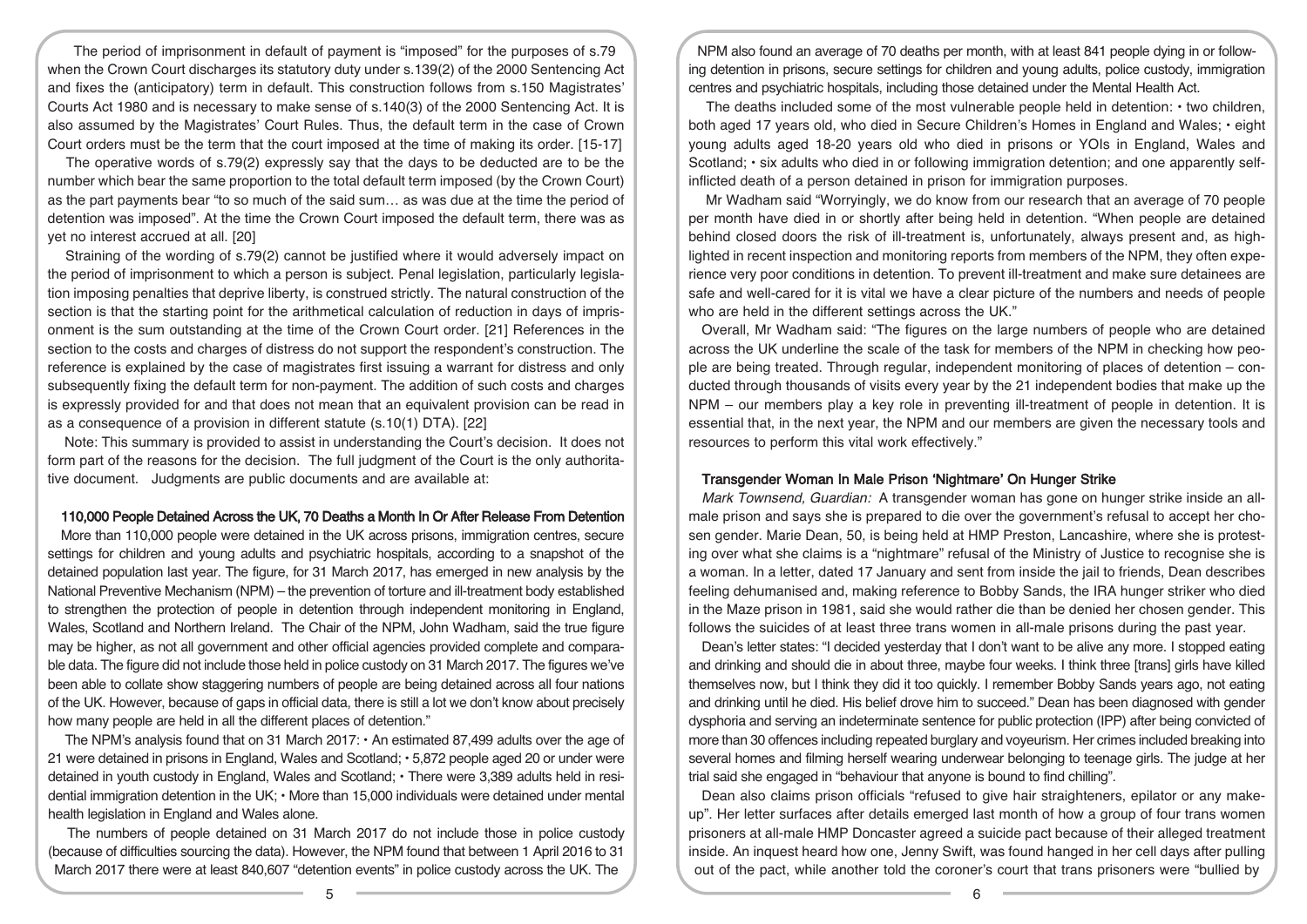The period of imprisonment in default of payment is "imposed" for the purposes of s.79 when the Crown Court discharges its statutory duty under s.139(2) of the 2000 Sentencing Act and fixes the (anticipatory) term in default. This construction follows from s.150 Magistrates' Courts Act 1980 and is necessary to make sense of s.140(3) of the 2000 Sentencing Act. It is also assumed by the Magistrates' Court Rules. Thus, the default term in the case of Crown Court orders must be the term that the court imposed at the time of making its order. [15-17]

The operative words of s.79(2) expressly say that the days to be deducted are to be the number which bear the same proportion to the total default term imposed (by the Crown Court) as the part payments bear "to so much of the said sum… as was due at the time the period of detention was imposed". At the time the Crown Court imposed the default term, there was as yet no interest accrued at all. [20]

Straining of the wording of s.79(2) cannot be justified where it would adversely impact on the period of imprisonment to which a person is subject. Penal legislation, particularly legislation imposing penalties that deprive liberty, is construed strictly. The natural construction of the section is that the starting point for the arithmetical calculation of reduction in days of imprisonment is the sum outstanding at the time of the Crown Court order. [21] References in the section to the costs and charges of distress do not support the respondent's construction. The reference is explained by the case of magistrates first issuing a warrant for distress and only subsequently fixing the default term for non-payment. The addition of such costs and charges is expressly provided for and that does not mean that an equivalent provision can be read in as a consequence of a provision in different statute (s.10(1) DTA). [22]

Note: This summary is provided to assist in understanding the Court's decision. It does not form part of the reasons for the decision. The full judgment of the Court is the only authoritative document. Judgments are public documents and are available at:

# 110,000 People Detained Across the UK, 70 Deaths a Month In Or After Release From Detention

More than 110,000 people were detained in the UK across prisons, immigration centres, secure settings for children and young adults and psychiatric hospitals, according to a snapshot of the detained population last year. The figure, for 31 March 2017, has emerged in new analysis by the National Preventive Mechanism (NPM) – the prevention of torture and ill-treatment body established to strengthen the protection of people in detention through independent monitoring in England, Wales, Scotland and Northern Ireland. The Chair of the NPM, John Wadham, said the true figure may be higher, as not all government and other official agencies provided complete and comparable data. The figure did not include those held in police custody on 31 March 2017. The figures we've been able to collate show staggering numbers of people are being detained across all four nations of the UK. However, because of gaps in official data, there is still a lot we don't know about precisely how many people are held in all the different places of detention."

The NPM's analysis found that on 31 March 2017: • An estimated 87,499 adults over the age of 21 were detained in prisons in England, Wales and Scotland; • 5,872 people aged 20 or under were detained in youth custody in England, Wales and Scotland; • There were 3,389 adults held in residential immigration detention in the UK; • More than 15,000 individuals were detained under mental health legislation in England and Wales alone.

The numbers of people detained on 31 March 2017 do not include those in police custody (because of difficulties sourcing the data). However, the NPM found that between 1 April 2016 to 31 March 2017 there were at least 840,607 "detention events" in police custody across the UK. The

NPM also found an average of 70 deaths per month, with at least 841 people dying in or following detention in prisons, secure settings for children and young adults, police custody, immigration centres and psychiatric hospitals, including those detained under the Mental Health Act.

The deaths included some of the most vulnerable people held in detention: • two children, both aged 17 years old, who died in Secure Children's Homes in England and Wales; • eight young adults aged 18-20 years old who died in prisons or YOIs in England, Wales and Scotland; • six adults who died in or following immigration detention; and one apparently selfinflicted death of a person detained in prison for immigration purposes.

Mr Wadham said "Worryingly, we do know from our research that an average of 70 people per month have died in or shortly after being held in detention. "When people are detained behind closed doors the risk of ill-treatment is, unfortunately, always present and, as highlighted in recent inspection and monitoring reports from members of the NPM, they often experience very poor conditions in detention. To prevent ill-treatment and make sure detainees are safe and well-cared for it is vital we have a clear picture of the numbers and needs of people who are held in the different settings across the UK."

Overall, Mr Wadham said: "The figures on the large numbers of people who are detained across the UK underline the scale of the task for members of the NPM in checking how people are being treated. Through regular, independent monitoring of places of detention – conducted through thousands of visits every year by the 21 independent bodies that make up the NPM – our members play a key role in preventing ill-treatment of people in detention. It is essential that, in the next year, the NPM and our members are given the necessary tools and resources to perform this vital work effectively."

### Transgender Woman In Male Prison 'Nightmare' On Hunger Strike

Mark Townsend, Guardian: A transgender woman has gone on hunger strike inside an allmale prison and says she is prepared to die over the government's refusal to accept her chosen gender. Marie Dean, 50, is being held at HMP Preston, Lancashire, where she is protesting over what she claims is a "nightmare" refusal of the Ministry of Justice to recognise she is a woman. In a letter, dated 17 January and sent from inside the jail to friends, Dean describes feeling dehumanised and, making reference to Bobby Sands, the IRA hunger striker who died in the Maze prison in 1981, said she would rather die than be denied her chosen gender. This follows the suicides of at least three trans women in all-male prisons during the past year.

Dean's letter states: "I decided yesterday that I don't want to be alive any more. I stopped eating and drinking and should die in about three, maybe four weeks. I think three [trans] girls have killed themselves now, but I think they did it too quickly. I remember Bobby Sands years ago, not eating and drinking until he died. His belief drove him to succeed." Dean has been diagnosed with gender dysphoria and serving an indeterminate sentence for public protection (IPP) after being convicted of more than 30 offences including repeated burglary and voyeurism. Her crimes included breaking into several homes and filming herself wearing underwear belonging to teenage girls. The judge at her trial said she engaged in "behaviour that anyone is bound to find chilling".

Dean also claims prison officials "refused to give hair straighteners, epilator or any makeup". Her letter surfaces after details emerged last month of how a group of four trans women prisoners at all-male HMP Doncaster agreed a suicide pact because of their alleged treatment inside. An inquest heard how one, Jenny Swift, was found hanged in her cell days after pulling out of the pact, while another told the coroner's court that trans prisoners were "bullied by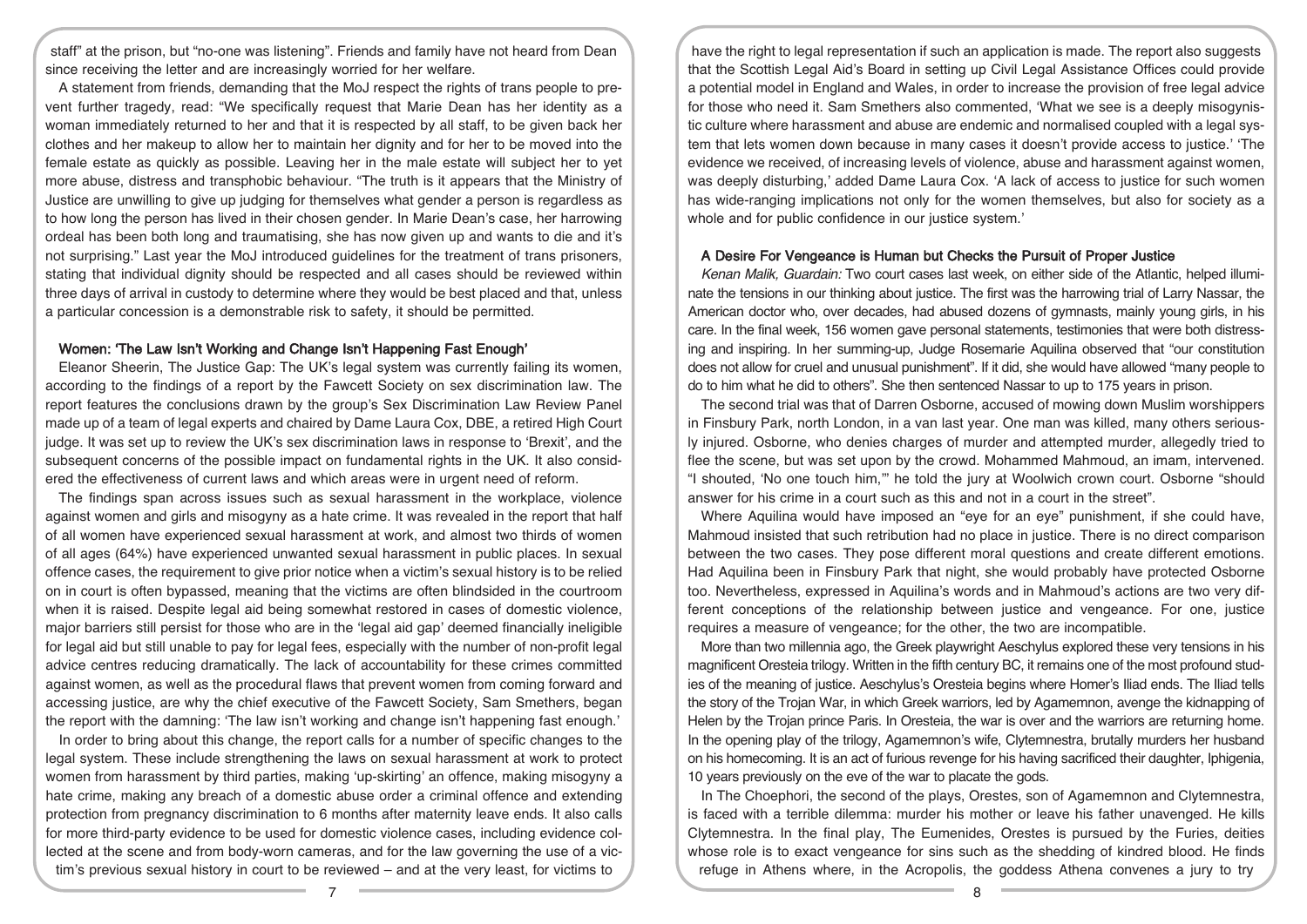staff" at the prison, but "no-one was listening". Friends and family have not heard from Dean since receiving the letter and are increasingly worried for her welfare.

A statement from friends, demanding that the MoJ respect the rights of trans people to prevent further tragedy, read: "We specifically request that Marie Dean has her identity as a woman immediately returned to her and that it is respected by all staff, to be given back her clothes and her makeup to allow her to maintain her dignity and for her to be moved into the female estate as quickly as possible. Leaving her in the male estate will subject her to yet more abuse, distress and transphobic behaviour. "The truth is it appears that the Ministry of Justice are unwilling to give up judging for themselves what gender a person is regardless as to how long the person has lived in their chosen gender. In Marie Dean's case, her harrowing ordeal has been both long and traumatising, she has now given up and wants to die and it's not surprising." Last year the MoJ introduced guidelines for the treatment of trans prisoners, stating that individual dignity should be respected and all cases should be reviewed within three days of arrival in custody to determine where they would be best placed and that, unless a particular concession is a demonstrable risk to safety, it should be permitted.

### Women: 'The Law Isn't Working and Change Isn't Happening Fast Enough'

Eleanor Sheerin, The Justice Gap: The UK's legal system was currently failing its women, according to the findings of a report by the Fawcett Society on sex discrimination law. The report features the conclusions drawn by the group's Sex Discrimination Law Review Panel made up of a team of legal experts and chaired by Dame Laura Cox, DBE, a retired High Court judge. It was set up to review the UK's sex discrimination laws in response to 'Brexit', and the subsequent concerns of the possible impact on fundamental rights in the UK. It also considered the effectiveness of current laws and which areas were in urgent need of reform.

The findings span across issues such as sexual harassment in the workplace, violence against women and girls and misogyny as a hate crime. It was revealed in the report that half of all women have experienced sexual harassment at work, and almost two thirds of women of all ages (64%) have experienced unwanted sexual harassment in public places. In sexual offence cases, the requirement to give prior notice when a victim's sexual history is to be relied on in court is often bypassed, meaning that the victims are often blindsided in the courtroom when it is raised. Despite legal aid being somewhat restored in cases of domestic violence, major barriers still persist for those who are in the 'legal aid gap' deemed financially ineligible for legal aid but still unable to pay for legal fees, especially with the number of non-profit legal advice centres reducing dramatically. The lack of accountability for these crimes committed against women, as well as the procedural flaws that prevent women from coming forward and accessing justice, are why the chief executive of the Fawcett Society, Sam Smethers, began the report with the damning: 'The law isn't working and change isn't happening fast enough.'

In order to bring about this change, the report calls for a number of specific changes to the legal system. These include strengthening the laws on sexual harassment at work to protect women from harassment by third parties, making 'up-skirting' an offence, making misogyny a hate crime, making any breach of a domestic abuse order a criminal offence and extending protection from pregnancy discrimination to 6 months after maternity leave ends. It also calls for more third-party evidence to be used for domestic violence cases, including evidence collected at the scene and from body-worn cameras, and for the law governing the use of a victim's previous sexual history in court to be reviewed – and at the very least, for victims to

have the right to legal representation if such an application is made. The report also suggests that the Scottish Legal Aid's Board in setting up Civil Legal Assistance Offices could provide a potential model in England and Wales, in order to increase the provision of free legal advice for those who need it. Sam Smethers also commented, 'What we see is a deeply misogynistic culture where harassment and abuse are endemic and normalised coupled with a legal system that lets women down because in many cases it doesn't provide access to justice.' 'The evidence we received, of increasing levels of violence, abuse and harassment against women, was deeply disturbing,' added Dame Laura Cox. 'A lack of access to justice for such women has wide-ranging implications not only for the women themselves, but also for society as a whole and for public confidence in our justice system.'

#### A Desire For Vengeance is Human but Checks the Pursuit of Proper Justice

Kenan Malik, Guardain: Two court cases last week, on either side of the Atlantic, helped illuminate the tensions in our thinking about justice. The first was the harrowing trial of Larry Nassar, the American doctor who, over decades, had abused dozens of gymnasts, mainly young girls, in his care. In the final week, 156 women gave personal statements, testimonies that were both distressing and inspiring. In her summing-up, Judge Rosemarie Aquilina observed that "our constitution does not allow for cruel and unusual punishment". If it did, she would have allowed "many people to do to him what he did to others". She then sentenced Nassar to up to 175 years in prison.

The second trial was that of Darren Osborne, accused of mowing down Muslim worshippers in Finsbury Park, north London, in a van last year. One man was killed, many others seriously injured. Osborne, who denies charges of murder and attempted murder, allegedly tried to flee the scene, but was set upon by the crowd. Mohammed Mahmoud, an imam, intervened. "I shouted, 'No one touch him,'" he told the jury at Woolwich crown court. Osborne "should answer for his crime in a court such as this and not in a court in the street".

Where Aquilina would have imposed an "eye for an eye" punishment, if she could have, Mahmoud insisted that such retribution had no place in justice. There is no direct comparison between the two cases. They pose different moral questions and create different emotions. Had Aquilina been in Finsbury Park that night, she would probably have protected Osborne too. Nevertheless, expressed in Aquilina's words and in Mahmoud's actions are two very different conceptions of the relationship between justice and vengeance. For one, justice requires a measure of vengeance; for the other, the two are incompatible.

More than two millennia ago, the Greek playwright Aeschylus explored these very tensions in his magnificent Oresteia trilogy. Written in the fifth century BC, it remains one of the most profound studies of the meaning of justice. Aeschylus's Oresteia begins where Homer's Iliad ends. The Iliad tells the story of the Trojan War, in which Greek warriors, led by Agamemnon, avenge the kidnapping of Helen by the Trojan prince Paris. In Oresteia, the war is over and the warriors are returning home. In the opening play of the trilogy, Agamemnon's wife, Clytemnestra, brutally murders her husband on his homecoming. It is an act of furious revenge for his having sacrificed their daughter, Iphigenia, 10 years previously on the eve of the war to placate the gods.

In The Choephori, the second of the plays, Orestes, son of Agamemnon and Clytemnestra, is faced with a terrible dilemma: murder his mother or leave his father unavenged. He kills Clytemnestra. In the final play, The Eumenides, Orestes is pursued by the Furies, deities whose role is to exact vengeance for sins such as the shedding of kindred blood. He finds refuge in Athens where, in the Acropolis, the goddess Athena convenes a jury to try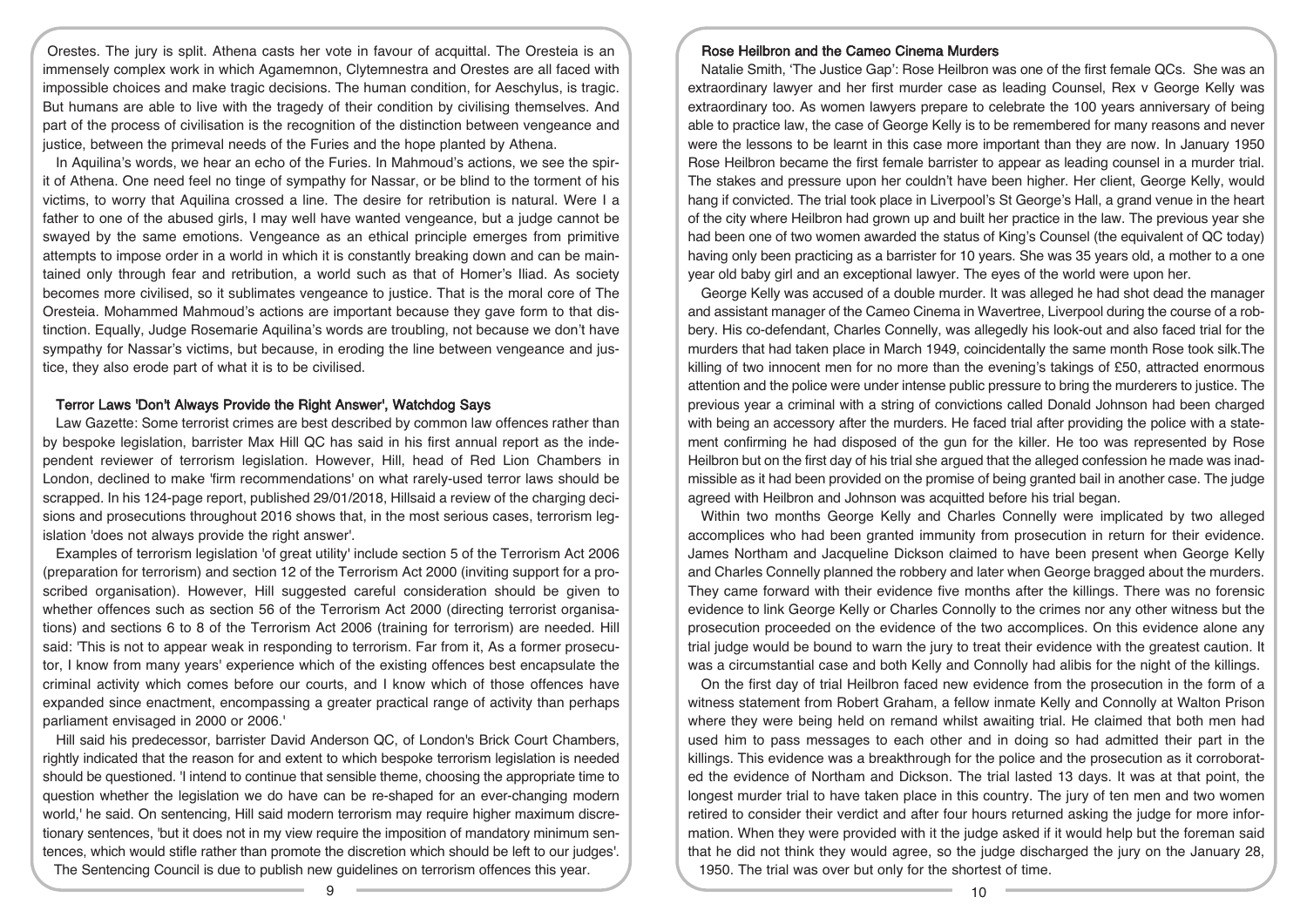Orestes. The jury is split. Athena casts her vote in favour of acquittal. The Oresteia is an immensely complex work in which Agamemnon, Clytemnestra and Orestes are all faced with impossible choices and make tragic decisions. The human condition, for Aeschylus, is tragic. But humans are able to live with the tragedy of their condition by civilising themselves. And part of the process of civilisation is the recognition of the distinction between vengeance and justice, between the primeval needs of the Furies and the hope planted by Athena.

In Aquilina's words, we hear an echo of the Furies. In Mahmoud's actions, we see the spirit of Athena. One need feel no tinge of sympathy for Nassar, or be blind to the torment of his victims, to worry that Aquilina crossed a line. The desire for retribution is natural. Were I a father to one of the abused girls, I may well have wanted vengeance, but a judge cannot be swayed by the same emotions. Vengeance as an ethical principle emerges from primitive attempts to impose order in a world in which it is constantly breaking down and can be maintained only through fear and retribution, a world such as that of Homer's Iliad. As society becomes more civilised, so it sublimates vengeance to justice. That is the moral core of The Oresteia. Mohammed Mahmoud's actions are important because they gave form to that distinction. Equally, Judge Rosemarie Aquilina's words are troubling, not because we don't have sympathy for Nassar's victims, but because, in eroding the line between vengeance and justice, they also erode part of what it is to be civilised.

# Terror Laws 'Don't Always Provide the Right Answer', Watchdog Says

Law Gazette: Some terrorist crimes are best described by common law offences rather than by bespoke legislation, barrister Max Hill QC has said in his first annual report as the independent reviewer of terrorism legislation. However, Hill, head of Red Lion Chambers in London, declined to make 'firm recommendations' on what rarely-used terror laws should be scrapped. In his 124-page report, published 29/01/2018, Hillsaid a review of the charging decisions and prosecutions throughout 2016 shows that, in the most serious cases, terrorism legislation 'does not always provide the right answer'.

Examples of terrorism legislation 'of great utility' include section 5 of the Terrorism Act 2006 (preparation for terrorism) and section 12 of the Terrorism Act 2000 (inviting support for a proscribed organisation). However, Hill suggested careful consideration should be given to whether offences such as section 56 of the Terrorism Act 2000 (directing terrorist organisations) and sections 6 to 8 of the Terrorism Act 2006 (training for terrorism) are needed. Hill said: 'This is not to appear weak in responding to terrorism. Far from it, As a former prosecutor, I know from many years' experience which of the existing offences best encapsulate the criminal activity which comes before our courts, and I know which of those offences have expanded since enactment, encompassing a greater practical range of activity than perhaps parliament envisaged in 2000 or 2006.'

Hill said his predecessor, barrister David Anderson QC, of London's Brick Court Chambers, rightly indicated that the reason for and extent to which bespoke terrorism legislation is needed should be questioned. 'I intend to continue that sensible theme, choosing the appropriate time to question whether the legislation we do have can be re-shaped for an ever-changing modern world,' he said. On sentencing, Hill said modern terrorism may require higher maximum discretionary sentences, 'but it does not in my view require the imposition of mandatory minimum sentences, which would stifle rather than promote the discretion which should be left to our judges'. The Sentencing Council is due to publish new guidelines on terrorism offences this year.

### Rose Heilbron and the Cameo Cinema Murders

Natalie Smith, 'The Justice Gap': Rose Heilbron was one of the first female QCs. She was an extraordinary lawyer and her first murder case as leading Counsel, Rex v George Kelly was extraordinary too. As women lawyers prepare to celebrate the 100 years anniversary of being able to practice law, the case of George Kelly is to be remembered for many reasons and never were the lessons to be learnt in this case more important than they are now. In January 1950 Rose Heilbron became the first female barrister to appear as leading counsel in a murder trial. The stakes and pressure upon her couldn't have been higher. Her client, George Kelly, would hang if convicted. The trial took place in Liverpool's St George's Hall, a grand venue in the heart of the city where Heilbron had grown up and built her practice in the law. The previous year she had been one of two women awarded the status of King's Counsel (the equivalent of QC today) having only been practicing as a barrister for 10 years. She was 35 years old, a mother to a one year old baby girl and an exceptional lawyer. The eyes of the world were upon her.

George Kelly was accused of a double murder. It was alleged he had shot dead the manager and assistant manager of the Cameo Cinema in Wavertree, Liverpool during the course of a robbery. His co-defendant, Charles Connelly, was allegedly his look-out and also faced trial for the murders that had taken place in March 1949, coincidentally the same month Rose took silk.The killing of two innocent men for no more than the evening's takings of £50, attracted enormous attention and the police were under intense public pressure to bring the murderers to justice. The previous year a criminal with a string of convictions called Donald Johnson had been charged with being an accessory after the murders. He faced trial after providing the police with a statement confirming he had disposed of the gun for the killer. He too was represented by Rose Heilbron but on the first day of his trial she argued that the alleged confession he made was inadmissible as it had been provided on the promise of being granted bail in another case. The judge agreed with Heilbron and Johnson was acquitted before his trial began.

Within two months George Kelly and Charles Connelly were implicated by two alleged accomplices who had been granted immunity from prosecution in return for their evidence. James Northam and Jacqueline Dickson claimed to have been present when George Kelly and Charles Connelly planned the robbery and later when George bragged about the murders. They came forward with their evidence five months after the killings. There was no forensic evidence to link George Kelly or Charles Connolly to the crimes nor any other witness but the prosecution proceeded on the evidence of the two accomplices. On this evidence alone any trial judge would be bound to warn the jury to treat their evidence with the greatest caution. It was a circumstantial case and both Kelly and Connolly had alibis for the night of the killings.

On the first day of trial Heilbron faced new evidence from the prosecution in the form of a witness statement from Robert Graham, a fellow inmate Kelly and Connolly at Walton Prison where they were being held on remand whilst awaiting trial. He claimed that both men had used him to pass messages to each other and in doing so had admitted their part in the killings. This evidence was a breakthrough for the police and the prosecution as it corroborated the evidence of Northam and Dickson. The trial lasted 13 days. It was at that point, the longest murder trial to have taken place in this country. The jury of ten men and two women retired to consider their verdict and after four hours returned asking the judge for more information. When they were provided with it the judge asked if it would help but the foreman said that he did not think they would agree, so the judge discharged the jury on the January 28, 1950. The trial was over but only for the shortest of time.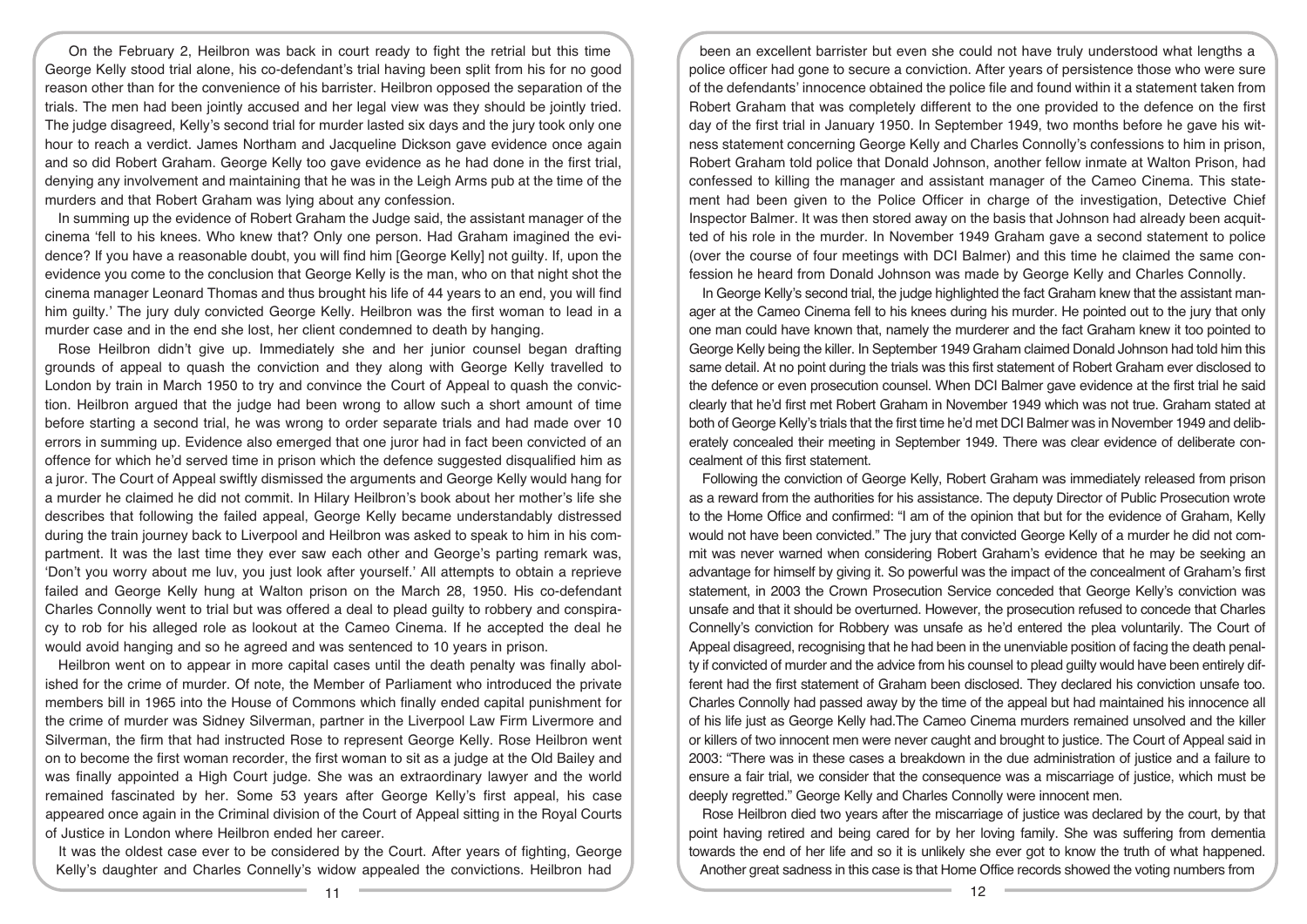On the February 2, Heilbron was back in court ready to fight the retrial but this time George Kelly stood trial alone, his co-defendant's trial having been split from his for no good reason other than for the convenience of his barrister. Heilbron opposed the separation of the trials. The men had been jointly accused and her legal view was they should be jointly tried. The judge disagreed, Kelly's second trial for murder lasted six days and the jury took only one hour to reach a verdict. James Northam and Jacqueline Dickson gave evidence once again and so did Robert Graham. George Kelly too gave evidence as he had done in the first trial, denying any involvement and maintaining that he was in the Leigh Arms pub at the time of the murders and that Robert Graham was lying about any confession.

In summing up the evidence of Robert Graham the Judge said, the assistant manager of the cinema 'fell to his knees. Who knew that? Only one person. Had Graham imagined the evidence? If you have a reasonable doubt, you will find him [George Kelly] not guilty. If, upon the evidence you come to the conclusion that George Kelly is the man, who on that night shot the cinema manager Leonard Thomas and thus brought his life of 44 years to an end, you will find him guilty.' The jury duly convicted George Kelly. Heilbron was the first woman to lead in a murder case and in the end she lost, her client condemned to death by hanging.

Rose Heilbron didn't give up. Immediately she and her junior counsel began drafting grounds of appeal to quash the conviction and they along with George Kelly travelled to London by train in March 1950 to try and convince the Court of Appeal to quash the conviction. Heilbron argued that the judge had been wrong to allow such a short amount of time before starting a second trial, he was wrong to order separate trials and had made over 10 errors in summing up. Evidence also emerged that one juror had in fact been convicted of an offence for which he'd served time in prison which the defence suggested disqualified him as a juror. The Court of Appeal swiftly dismissed the arguments and George Kelly would hang for a murder he claimed he did not commit. In Hilary Heilbron's book about her mother's life she describes that following the failed appeal, George Kelly became understandably distressed during the train journey back to Liverpool and Heilbron was asked to speak to him in his compartment. It was the last time they ever saw each other and George's parting remark was, 'Don't you worry about me luv, you just look after yourself.' All attempts to obtain a reprieve failed and George Kelly hung at Walton prison on the March 28, 1950. His co-defendant Charles Connolly went to trial but was offered a deal to plead guilty to robbery and conspiracy to rob for his alleged role as lookout at the Cameo Cinema. If he accepted the deal he would avoid hanging and so he agreed and was sentenced to 10 years in prison.

Heilbron went on to appear in more capital cases until the death penalty was finally abolished for the crime of murder. Of note, the Member of Parliament who introduced the private members bill in 1965 into the House of Commons which finally ended capital punishment for the crime of murder was Sidney Silverman, partner in the Liverpool Law Firm Livermore and Silverman, the firm that had instructed Rose to represent George Kelly. Rose Heilbron went on to become the first woman recorder, the first woman to sit as a judge at the Old Bailey and was finally appointed a High Court judge. She was an extraordinary lawyer and the world remained fascinated by her. Some 53 years after George Kelly's first appeal, his case appeared once again in the Criminal division of the Court of Appeal sitting in the Royal Courts of Justice in London where Heilbron ended her career.

It was the oldest case ever to be considered by the Court. After years of fighting, George Kelly's daughter and Charles Connelly's widow appealed the convictions. Heilbron had

been an excellent barrister but even she could not have truly understood what lengths a police officer had gone to secure a conviction. After years of persistence those who were sure of the defendants' innocence obtained the police file and found within it a statement taken from Robert Graham that was completely different to the one provided to the defence on the first day of the first trial in January 1950. In September 1949, two months before he gave his witness statement concerning George Kelly and Charles Connolly's confessions to him in prison, Robert Graham told police that Donald Johnson, another fellow inmate at Walton Prison, had confessed to killing the manager and assistant manager of the Cameo Cinema. This statement had been given to the Police Officer in charge of the investigation, Detective Chief Inspector Balmer. It was then stored away on the basis that Johnson had already been acquitted of his role in the murder. In November 1949 Graham gave a second statement to police (over the course of four meetings with DCI Balmer) and this time he claimed the same confession he heard from Donald Johnson was made by George Kelly and Charles Connolly.

In George Kelly's second trial, the judge highlighted the fact Graham knew that the assistant manager at the Cameo Cinema fell to his knees during his murder. He pointed out to the jury that only one man could have known that, namely the murderer and the fact Graham knew it too pointed to George Kelly being the killer. In September 1949 Graham claimed Donald Johnson had told him this same detail. At no point during the trials was this first statement of Robert Graham ever disclosed to the defence or even prosecution counsel. When DCI Balmer gave evidence at the first trial he said clearly that he'd first met Robert Graham in November 1949 which was not true. Graham stated at both of George Kelly's trials that the first time he'd met DCI Balmer was in November 1949 and deliberately concealed their meeting in September 1949. There was clear evidence of deliberate concealment of this first statement.

Following the conviction of George Kelly, Robert Graham was immediately released from prison as a reward from the authorities for his assistance. The deputy Director of Public Prosecution wrote to the Home Office and confirmed: "I am of the opinion that but for the evidence of Graham, Kelly would not have been convicted." The jury that convicted George Kelly of a murder he did not commit was never warned when considering Robert Graham's evidence that he may be seeking an advantage for himself by giving it. So powerful was the impact of the concealment of Graham's first statement, in 2003 the Crown Prosecution Service conceded that George Kelly's conviction was unsafe and that it should be overturned. However, the prosecution refused to concede that Charles Connelly's conviction for Robbery was unsafe as he'd entered the plea voluntarily. The Court of Appeal disagreed, recognising that he had been in the unenviable position of facing the death penalty if convicted of murder and the advice from his counsel to plead guilty would have been entirely different had the first statement of Graham been disclosed. They declared his conviction unsafe too. Charles Connolly had passed away by the time of the appeal but had maintained his innocence all of his life just as George Kelly had.The Cameo Cinema murders remained unsolved and the killer or killers of two innocent men were never caught and brought to justice. The Court of Appeal said in 2003: "There was in these cases a breakdown in the due administration of justice and a failure to ensure a fair trial, we consider that the consequence was a miscarriage of justice, which must be deeply regretted." George Kelly and Charles Connolly were innocent men.

Rose Heilbron died two years after the miscarriage of justice was declared by the court, by that point having retired and being cared for by her loving family. She was suffering from dementia towards the end of her life and so it is unlikely she ever got to know the truth of what happened. Another great sadness in this case is that Home Office records showed the voting numbers from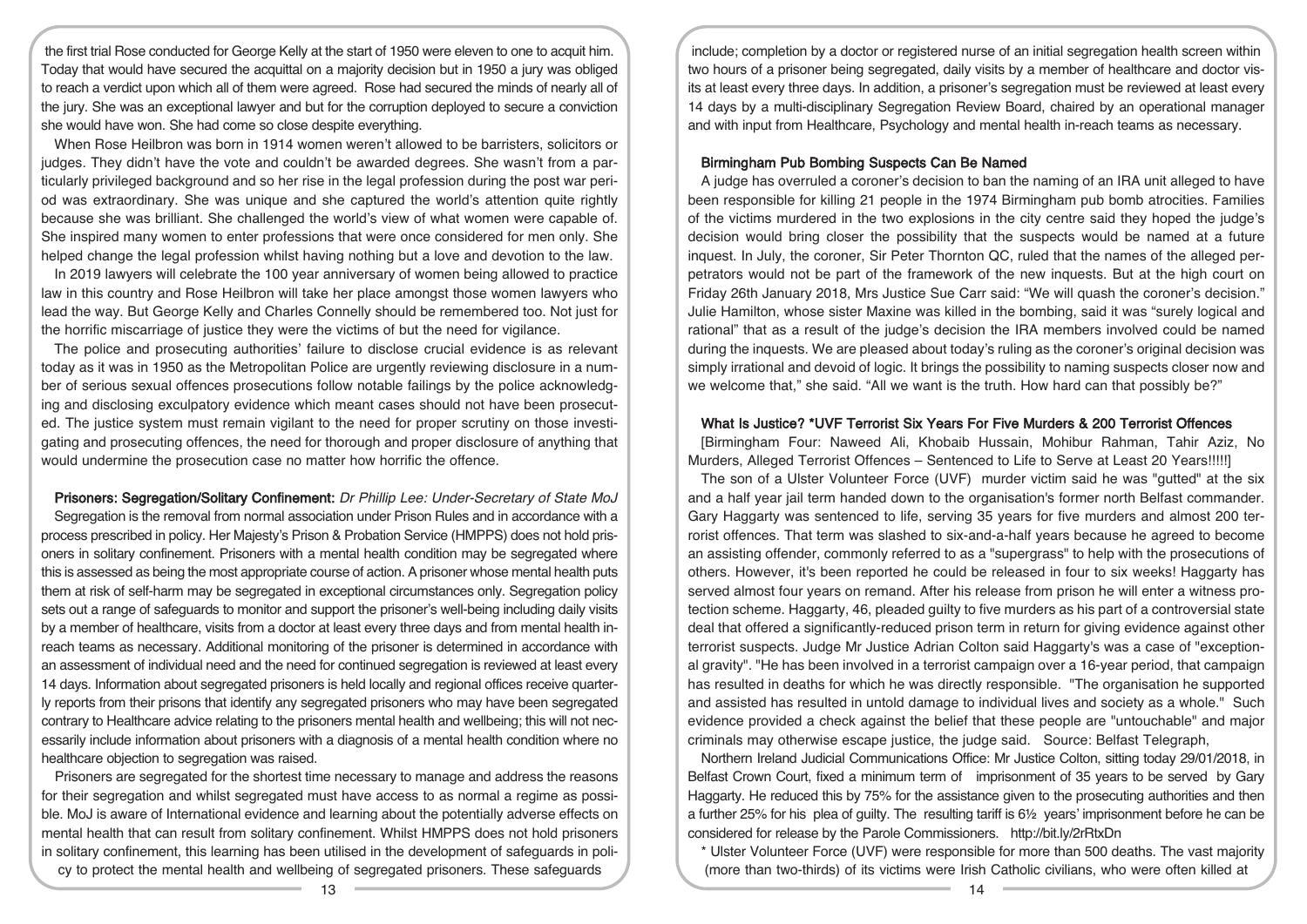the first trial Rose conducted for George Kelly at the start of 1950 were eleven to one to acquit him. Today that would have secured the acquittal on a majority decision but in 1950 a jury was obliged to reach a verdict upon which all of them were agreed. Rose had secured the minds of nearly all of the jury. She was an exceptional lawyer and but for the corruption deployed to secure a conviction she would have won. She had come so close despite everything.

When Rose Heilbron was born in 1914 women weren't allowed to be barristers, solicitors or judges. They didn't have the vote and couldn't be awarded degrees. She wasn't from a particularly privileged background and so her rise in the legal profession during the post war period was extraordinary. She was unique and she captured the world's attention quite rightly because she was brilliant. She challenged the world's view of what women were capable of. She inspired many women to enter professions that were once considered for men only. She helped change the legal profession whilst having nothing but a love and devotion to the law.

In 2019 lawyers will celebrate the 100 year anniversary of women being allowed to practice law in this country and Rose Heilbron will take her place amongst those women lawyers who lead the way. But George Kelly and Charles Connelly should be remembered too. Not just for the horrific miscarriage of justice they were the victims of but the need for vigilance.

The police and prosecuting authorities' failure to disclose crucial evidence is as relevant today as it was in 1950 as the Metropolitan Police are urgently reviewing disclosure in a number of serious sexual offences prosecutions follow notable failings by the police acknowledging and disclosing exculpatory evidence which meant cases should not have been prosecuted. The justice system must remain vigilant to the need for proper scrutiny on those investigating and prosecuting offences, the need for thorough and proper disclosure of anything that would undermine the prosecution case no matter how horrific the offence.

Prisoners: Segregation/Solitary Confinement: Dr Phillip Lee: Under-Secretary of State MoJ Segregation is the removal from normal association under Prison Rules and in accordance with a process prescribed in policy. Her Majesty's Prison & Probation Service (HMPPS) does not hold prisoners in solitary confinement. Prisoners with a mental health condition may be segregated where this is assessed as being the most appropriate course of action. A prisoner whose mental health puts them at risk of self-harm may be segregated in exceptional circumstances only. Segregation policy sets out a range of safeguards to monitor and support the prisoner's well-being including daily visits by a member of healthcare, visits from a doctor at least every three days and from mental health inreach teams as necessary. Additional monitoring of the prisoner is determined in accordance with an assessment of individual need and the need for continued segregation is reviewed at least every 14 days. Information about segregated prisoners is held locally and regional offices receive quarterly reports from their prisons that identify any segregated prisoners who may have been segregated contrary to Healthcare advice relating to the prisoners mental health and wellbeing; this will not necessarily include information about prisoners with a diagnosis of a mental health condition where no healthcare objection to segregation was raised.

Prisoners are segregated for the shortest time necessary to manage and address the reasons for their segregation and whilst segregated must have access to as normal a regime as possible. MoJ is aware of International evidence and learning about the potentially adverse effects on mental health that can result from solitary confinement. Whilst HMPPS does not hold prisoners in solitary confinement, this learning has been utilised in the development of safeguards in policy to protect the mental health and wellbeing of segregated prisoners. These safeguards

include; completion by a doctor or registered nurse of an initial segregation health screen within two hours of a prisoner being segregated, daily visits by a member of healthcare and doctor visits at least every three days. In addition, a prisoner's segregation must be reviewed at least every 14 days by a multi-disciplinary Segregation Review Board, chaired by an operational manager and with input from Healthcare, Psychology and mental health in-reach teams as necessary.

# Birmingham Pub Bombing Suspects Can Be Named

A judge has overruled a coroner's decision to ban the naming of an IRA unit alleged to have been responsible for killing 21 people in the 1974 Birmingham pub bomb atrocities. Families of the victims murdered in the two explosions in the city centre said they hoped the judge's decision would bring closer the possibility that the suspects would be named at a future inquest. In July, the coroner, Sir Peter Thornton QC, ruled that the names of the alleged perpetrators would not be part of the framework of the new inquests. But at the high court on Friday 26th January 2018, Mrs Justice Sue Carr said: "We will quash the coroner's decision." Julie Hamilton, whose sister Maxine was killed in the bombing, said it was "surely logical and rational" that as a result of the judge's decision the IRA members involved could be named during the inquests. We are pleased about today's ruling as the coroner's original decision was simply irrational and devoid of logic. It brings the possibility to naming suspects closer now and we welcome that," she said. "All we want is the truth. How hard can that possibly be?"

# What Is Justice? \*UVF Terrorist Six Years For Five Murders & 200 Terrorist Offences

[Birmingham Four: Naweed Ali, Khobaib Hussain, Mohibur Rahman, Tahir Aziz, No Murders, Alleged Terrorist Offences – Sentenced to Life to Serve at Least 20 Years!!!!!]

The son of a Ulster Volunteer Force (UVF) murder victim said he was "gutted" at the six and a half year jail term handed down to the organisation's former north Belfast commander. Gary Haggarty was sentenced to life, serving 35 years for five murders and almost 200 terrorist offences. That term was slashed to six-and-a-half years because he agreed to become an assisting offender, commonly referred to as a "supergrass" to help with the prosecutions of others. However, it's been reported he could be released in four to six weeks! Haggarty has served almost four years on remand. After his release from prison he will enter a witness protection scheme. Haggarty, 46, pleaded guilty to five murders as his part of a controversial state deal that offered a significantly-reduced prison term in return for giving evidence against other terrorist suspects. Judge Mr Justice Adrian Colton said Haggarty's was a case of "exceptional gravity". "He has been involved in a terrorist campaign over a 16-year period, that campaign has resulted in deaths for which he was directly responsible. "The organisation he supported and assisted has resulted in untold damage to individual lives and society as a whole." Such evidence provided a check against the belief that these people are "untouchable" and major criminals may otherwise escape justice, the judge said. Source: Belfast Telegraph,

Northern Ireland Judicial Communications Office: Mr Justice Colton, sitting today 29/01/2018, in Belfast Crown Court, fixed a minimum term of imprisonment of 35 years to be served by Gary Haggarty. He reduced this by 75% for the assistance given to the prosecuting authorities and then a further 25% for his plea of guilty. The resulting tariff is 6½ years' imprisonment before he can be considered for release by the Parole Commissioners. http://bit.ly/2rRtxDn

\* Ulster Volunteer Force (UVF) were responsible for more than 500 deaths. The vast majority (more than two-thirds) of its victims were Irish Catholic civilians, who were often killed at